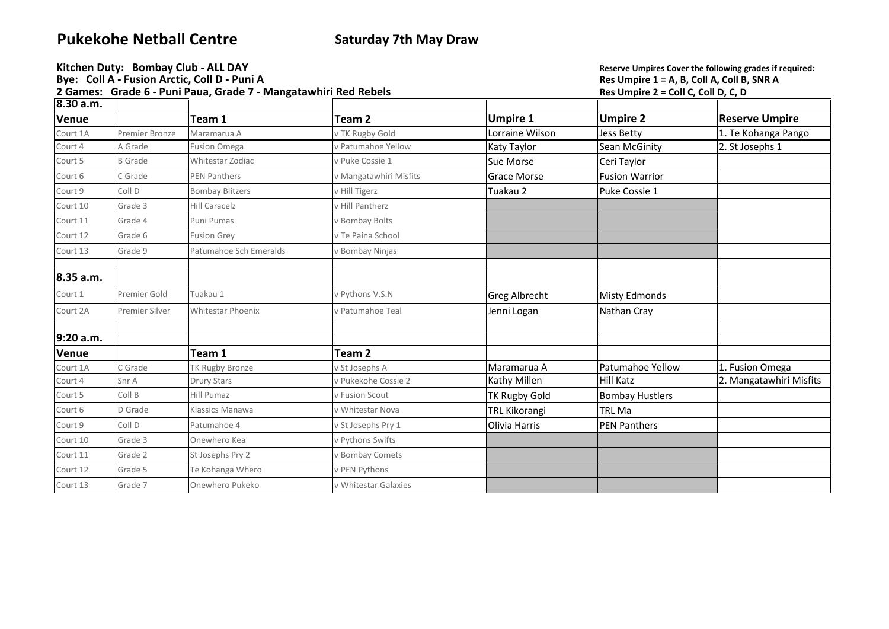## **Pukekohe Netball Centre Saturday 7th May Draw**

|              | Kitchen Duty: Bombay Club - ALL DAY<br>Bye: Coll A - Fusion Arctic, Coll D - Puni A<br>2 Games: Grade 6 - Puni Paua, Grade 7 - Mangatawhiri Red Rebels |                          |                        |                      | Reserve Umpires Cover the following grades if required:<br>Res Umpire 1 = A, B, Coll A, Coll B, SNR A<br>Res Umpire 2 = Coll C, Coll D, C, D |                         |
|--------------|--------------------------------------------------------------------------------------------------------------------------------------------------------|--------------------------|------------------------|----------------------|----------------------------------------------------------------------------------------------------------------------------------------------|-------------------------|
| 8.30 a.m.    |                                                                                                                                                        |                          |                        |                      |                                                                                                                                              |                         |
| Venue        |                                                                                                                                                        | Team 1                   | Team 2                 | <b>Umpire 1</b>      | <b>Umpire 2</b>                                                                                                                              | <b>Reserve Umpire</b>   |
| Court 1A     | <b>Premier Bronze</b>                                                                                                                                  | Maramarua A              | v TK Rugby Gold        | Lorraine Wilson      | <b>Jess Betty</b>                                                                                                                            | 1. Te Kohanga Pango     |
| Court 4      | A Grade                                                                                                                                                | <b>Fusion Omega</b>      | v Patumahoe Yellow     | Katy Taylor          | Sean McGinity                                                                                                                                | 2. St Josephs 1         |
| Court 5      | <b>B</b> Grade                                                                                                                                         | Whitestar Zodiac         | v Puke Cossie 1        | Sue Morse            | Ceri Taylor                                                                                                                                  |                         |
| Court 6      | C Grade                                                                                                                                                | <b>PEN Panthers</b>      | v Mangatawhiri Misfits | <b>Grace Morse</b>   | <b>Fusion Warrior</b>                                                                                                                        |                         |
| Court 9      | Coll D                                                                                                                                                 | <b>Bombay Blitzers</b>   | v Hill Tigerz          | Tuakau 2             | Puke Cossie 1                                                                                                                                |                         |
| Court 10     | Grade 3                                                                                                                                                | <b>Hill Caracelz</b>     | v Hill Pantherz        |                      |                                                                                                                                              |                         |
| Court 11     | Grade 4                                                                                                                                                | Puni Pumas               | v Bombay Bolts         |                      |                                                                                                                                              |                         |
| Court 12     | Grade 6                                                                                                                                                | <b>Fusion Grey</b>       | v Te Paina School      |                      |                                                                                                                                              |                         |
| Court 13     | Grade 9                                                                                                                                                | Patumahoe Sch Emeralds   | v Bombay Ninjas        |                      |                                                                                                                                              |                         |
| 8.35 a.m.    |                                                                                                                                                        |                          |                        |                      |                                                                                                                                              |                         |
| Court 1      | Premier Gold                                                                                                                                           | Tuakau 1                 | v Pythons V.S.N        | <b>Greg Albrecht</b> | <b>Misty Edmonds</b>                                                                                                                         |                         |
| Court 2A     | Premier Silver                                                                                                                                         | <b>Whitestar Phoenix</b> | v Patumahoe Teal       | Jenni Logan          | Nathan Cray                                                                                                                                  |                         |
| 9:20 a.m.    |                                                                                                                                                        |                          |                        |                      |                                                                                                                                              |                         |
| <b>Venue</b> |                                                                                                                                                        | Team 1                   | Team 2                 |                      |                                                                                                                                              |                         |
| Court 1A     | C Grade                                                                                                                                                | <b>TK Rugby Bronze</b>   | v St Josephs A         | Maramarua A          | Patumahoe Yellow                                                                                                                             | 1. Fusion Omega         |
| Court 4      | Snr A                                                                                                                                                  | <b>Drury Stars</b>       | v Pukekohe Cossie 2    | Kathy Millen         | <b>Hill Katz</b>                                                                                                                             | 2. Mangatawhiri Misfits |
| Court 5      | Coll B                                                                                                                                                 | Hill Pumaz               | v Fusion Scout         | <b>TK Rugby Gold</b> | <b>Bombay Hustlers</b>                                                                                                                       |                         |
| Court 6      | D Grade                                                                                                                                                | Klassics Manawa          | v Whitestar Nova       | <b>TRL Kikorangi</b> | <b>TRL Ma</b>                                                                                                                                |                         |
| Court 9      | Coll D                                                                                                                                                 | Patumahoe 4              | v St Josephs Pry 1     | Olivia Harris        | <b>PEN Panthers</b>                                                                                                                          |                         |
| Court 10     | Grade 3                                                                                                                                                | Onewhero Kea             | v Pythons Swifts       |                      |                                                                                                                                              |                         |
| Court 11     | Grade 2                                                                                                                                                | St Josephs Pry 2         | v Bombay Comets        |                      |                                                                                                                                              |                         |
| Court 12     | Grade 5                                                                                                                                                | Te Kohanga Whero         | v PEN Pythons          |                      |                                                                                                                                              |                         |
| Court 13     | Grade 7                                                                                                                                                | Onewhero Pukeko          | v Whitestar Galaxies   |                      |                                                                                                                                              |                         |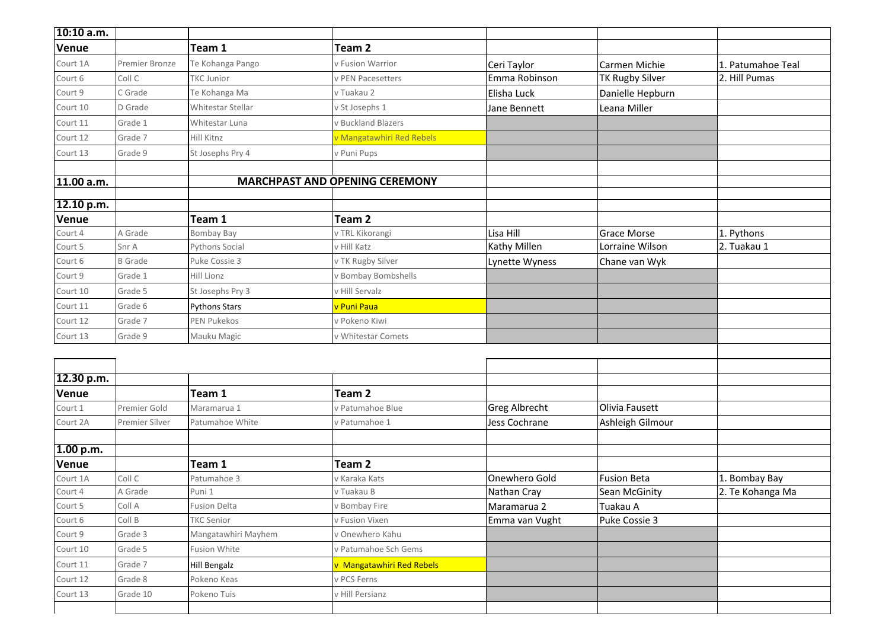| 10:10 a.m. |                |                      |                                       |                      |                        |                                   |
|------------|----------------|----------------------|---------------------------------------|----------------------|------------------------|-----------------------------------|
| Venue      |                | Team 1               | Team <sub>2</sub>                     |                      |                        |                                   |
| Court 1A   | Premier Bronze | Te Kohanga Pango     | v Fusion Warrior                      | Ceri Taylor          | Carmen Michie          | 1. Patumahoe Teal                 |
| Court 6    | Coll C         | <b>TKC Junior</b>    | v PEN Pacesetters                     | Emma Robinson        | <b>TK Rugby Silver</b> | 2. Hill Pumas                     |
| Court 9    | C Grade        | Te Kohanga Ma        | v Tuakau 2                            | Elisha Luck          | Danielle Hepburn       |                                   |
| Court 10   | D Grade        | Whitestar Stellar    | v St Josephs 1                        | Jane Bennett         | Leana Miller           |                                   |
| Court 11   | Grade 1        | Whitestar Luna       | v Buckland Blazers                    |                      |                        |                                   |
| Court 12   | Grade 7        | Hill Kitnz           | v Mangatawhiri Red Rebels             |                      |                        |                                   |
| Court 13   | Grade 9        | St Josephs Pry 4     | v Puni Pups                           |                      |                        |                                   |
| 11.00 a.m. |                |                      | <b>MARCHPAST AND OPENING CEREMONY</b> |                      |                        |                                   |
|            |                |                      |                                       |                      |                        |                                   |
| 12.10 p.m. |                |                      |                                       |                      |                        |                                   |
| Venue      |                | Team 1               | Team <sub>2</sub>                     |                      |                        |                                   |
| Court 4    | A Grade        | <b>Bombay Bay</b>    | v TRL Kikorangi                       | Lisa Hill            | <b>Grace Morse</b>     | 1. Pythons                        |
| Court 5    | Snr A          | Pythons Social       | v Hill Katz                           | Kathy Millen         | Lorraine Wilson        | 2. Tuakau 1                       |
| Court 6    | <b>B</b> Grade | Puke Cossie 3        | v TK Rugby Silver                     | Lynette Wyness       | Chane van Wyk          |                                   |
| Court 9    | Grade 1        | Hill Lionz           | v Bombay Bombshells                   |                      |                        |                                   |
| Court 10   | Grade 5        | St Josephs Pry 3     | v Hill Servalz                        |                      |                        |                                   |
| Court 11   | Grade 6        | <b>Pythons Stars</b> | v Puni Paua                           |                      |                        |                                   |
| Court 12   | Grade 7        | <b>PEN Pukekos</b>   | v Pokeno Kiwi                         |                      |                        |                                   |
| Court 13   | Grade 9        | Mauku Magic          | v Whitestar Comets                    |                      |                        |                                   |
|            |                |                      |                                       |                      |                        |                                   |
|            |                |                      |                                       |                      |                        |                                   |
| 12.30 p.m. |                |                      |                                       |                      |                        |                                   |
| Venue      |                | Team 1               | Team <sub>2</sub>                     |                      |                        |                                   |
| Court 1    | Premier Gold   | Maramarua 1          | v Patumahoe Blue                      | <b>Greg Albrecht</b> | Olivia Fausett         |                                   |
| Court 2A   | Premier Silver | Patumahoe White      | v Patumahoe 1                         | Jess Cochrane        | Ashleigh Gilmour       |                                   |
|            |                |                      |                                       |                      |                        |                                   |
| 1.00 p.m.  |                | Team 1               | Team <sub>2</sub>                     |                      |                        |                                   |
| Venue      | Coll C         |                      |                                       | Onewhero Gold        | <b>Fusion Beta</b>     |                                   |
| Court 1A   |                | Patumahoe 3          | v Karaka Kats<br>v Tuakau B           | Nathan Cray          | Sean McGinity          | 1. Bombay Bay<br>2. Te Kohanga Ma |
| Court 4    | A Grade        | Puni 1               |                                       |                      |                        |                                   |
| Court 5    | Coll A         | Fusion Delta         | v Bombay Fire                         | Maramarua 2          | Tuakau A               |                                   |
| Court 6    | Coll B         | <b>TKC Senior</b>    | v Fusion Vixen                        | Emma van Vught       | Puke Cossie 3          |                                   |
| Court 9    | Grade 3        | Mangatawhiri Mayhem  | v Onewhero Kahu                       |                      |                        |                                   |
| Court 10   | Grade 5        | Fusion White         | v Patumahoe Sch Gems                  |                      |                        |                                   |
| Court 11   | Grade 7        | Hill Bengalz         | v Mangatawhiri Red Rebels             |                      |                        |                                   |
| Court 12   | Grade 8        | Pokeno Keas          | v PCS Ferns                           |                      |                        |                                   |
| Court 13   | Grade 10       | Pokeno Tuis          | v Hill Persianz                       |                      |                        |                                   |
|            |                |                      |                                       |                      |                        |                                   |